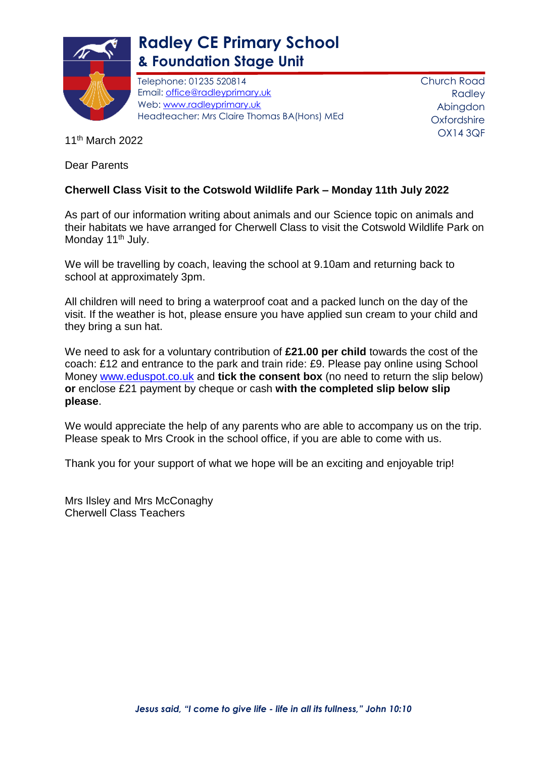

## **Radley CE Primary School & Foundation Stage Unit**

Telephone: 01235 520814 Email: [office@radleyprimary.uk](mailto:office@radleyprimary.uk) Web: [www.radleyprimary.uk](http://www.radleyprimary.uk/) Headteacher: Mrs Claire Thomas BA(Hons) MEd Church Road Radley Abingdon **Oxfordshire** OX14 3QF

11th March 2022

Dear Parents

## **Cherwell Class Visit to the Cotswold Wildlife Park – Monday 11th July 2022**

As part of our information writing about animals and our Science topic on animals and their habitats we have arranged for Cherwell Class to visit the Cotswold Wildlife Park on Monday 11<sup>th</sup> July.

We will be travelling by coach, leaving the school at 9.10am and returning back to school at approximately 3pm.

All children will need to bring a waterproof coat and a packed lunch on the day of the visit. If the weather is hot, please ensure you have applied sun cream to your child and they bring a sun hat.

We need to ask for a voluntary contribution of **£21.00 per child** towards the cost of the coach: £12 and entrance to the park and train ride: £9. Please pay online using School Money [www.eduspot.co.uk](http://www.eduspot.co.uk/) and **tick the consent box** (no need to return the slip below) **or** enclose £21 payment by cheque or cash **with the completed slip below slip please**.

We would appreciate the help of any parents who are able to accompany us on the trip. Please speak to Mrs Crook in the school office, if you are able to come with us.

Thank you for your support of what we hope will be an exciting and enjoyable trip!

Mrs Ilsley and Mrs McConaghy Cherwell Class Teachers